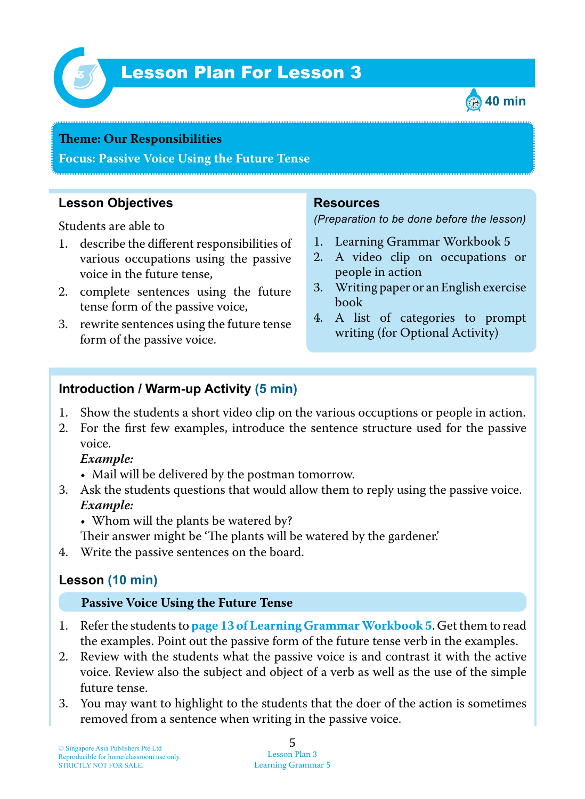

# Lesson Plan For Lesson 3 *3*



#### **Teme : Our Responsibilities**

**Focus: Passive Voice Using the Future Tense**

### **Lesson Objectives**

Students are able to

- 1. describe the different responsibilities of various occupations using the passive voice in the future tense,
- 2. complete sentences using the future tense form of the passive voice,
- 3. rewrite sentences using the future tense form of the passive voice.

#### **Resources**

*(Preparation to be done before the lesson)*

- 1. Learning Grammar Workbook 5
- 2. A video clip on occupations or people in action
- 3. Writing paper or an English exercise book
- 4. A list of categories to prompt writing (for Optional Activity)

### **Introduction / Warm-up Activity (5 min)**

- 1. Show the students a short video clip on the various occuptions or people in action.
- 2. For the first few examples, introduce the sentence structure used for the passive voice.

#### *Example:*

- Mail will be delivered by the postman tomorrow.
- 3. Ask the students questions that would allow them to reply using the passive voice.  *Example:*
	- Whom will the plants be watered by?

Their answer might be 'The plants will be watered by the gardener.'

4. Write the passive sentences on the board.

## **Lesson (10 min)**

#### **Passive Voice Using the Future Tense**

- 1 . Refer the students to **page 13 of Learning GrammarWorkbook 5** . Get them to read the examples. Point out the passive form of the future tense verb in the examples.
- 2. Review with the students what the passive voice is and contrast it with the active voice. Review also the subject and object of a verb as well as the use of the simple future tense.
- 3. You may want to highlight to the students that the doer of the action is sometimes removed from a sentence when writing in the passive voice.